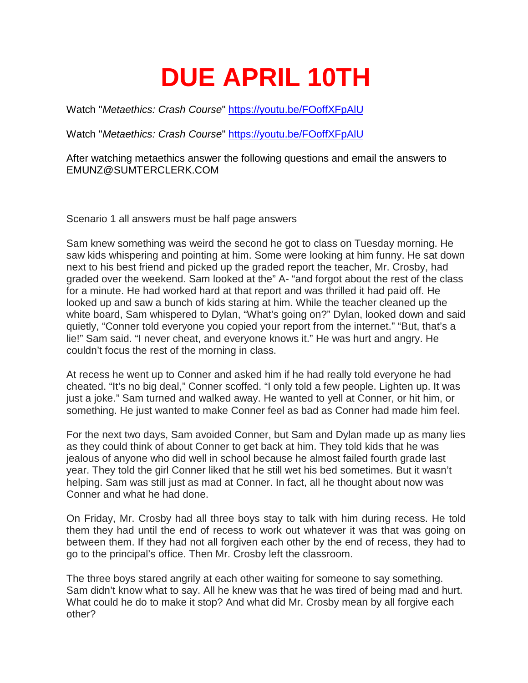## **DUE APRIL 10TH**

Watch "*Metaethics: Crash Course*" <https://youtu.be/FOoffXFpAlU>

Watch "*Metaethics: Crash Course*" <https://youtu.be/FOoffXFpAlU>

After watching metaethics answer the following questions and email the answers to EMUNZ@SUMTERCLERK.COM

Scenario 1 all answers must be half page answers

Sam knew something was weird the second he got to class on Tuesday morning. He saw kids whispering and pointing at him. Some were looking at him funny. He sat down next to his best friend and picked up the graded report the teacher, Mr. Crosby, had graded over the weekend. Sam looked at the" A- "and forgot about the rest of the class for a minute. He had worked hard at that report and was thrilled it had paid off. He looked up and saw a bunch of kids staring at him. While the teacher cleaned up the white board, Sam whispered to Dylan, "What's going on?" Dylan, looked down and said quietly, "Conner told everyone you copied your report from the internet." "But, that's a lie!" Sam said. "I never cheat, and everyone knows it." He was hurt and angry. He couldn't focus the rest of the morning in class.

At recess he went up to Conner and asked him if he had really told everyone he had cheated. "It's no big deal," Conner scoffed. "I only told a few people. Lighten up. It was just a joke." Sam turned and walked away. He wanted to yell at Conner, or hit him, or something. He just wanted to make Conner feel as bad as Conner had made him feel.

For the next two days, Sam avoided Conner, but Sam and Dylan made up as many lies as they could think of about Conner to get back at him. They told kids that he was jealous of anyone who did well in school because he almost failed fourth grade last year. They told the girl Conner liked that he still wet his bed sometimes. But it wasn't helping. Sam was still just as mad at Conner. In fact, all he thought about now was Conner and what he had done.

On Friday, Mr. Crosby had all three boys stay to talk with him during recess. He told them they had until the end of recess to work out whatever it was that was going on between them. If they had not all forgiven each other by the end of recess, they had to go to the principal's office. Then Mr. Crosby left the classroom.

The three boys stared angrily at each other waiting for someone to say something. Sam didn't know what to say. All he knew was that he was tired of being mad and hurt. What could he do to make it stop? And what did Mr. Crosby mean by all forgive each other?